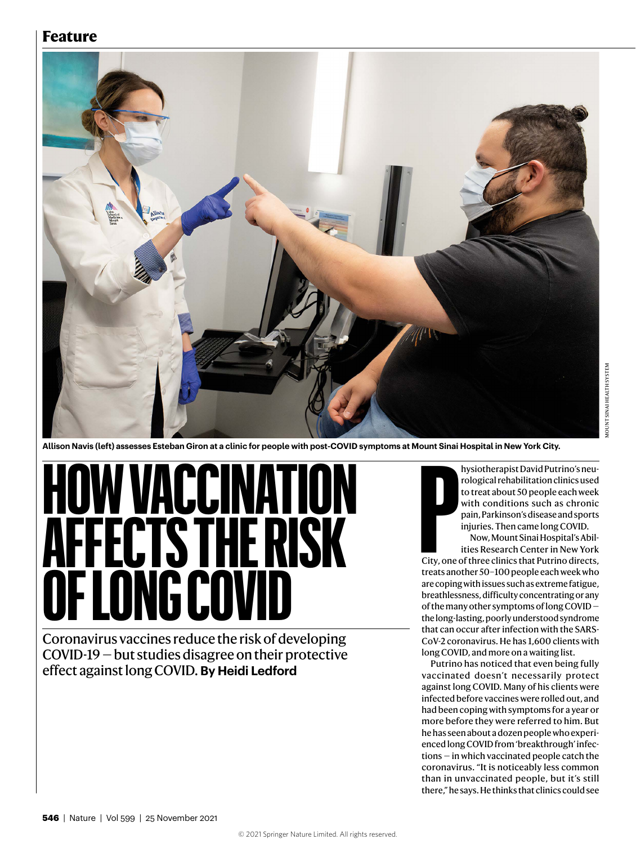#### **Feature**



**Allison Navis (left) assesses Esteban Giron at a clinic for people with post-COVID symptoms at Mount Sinai Hospital in New York City.**

# **W VACCINATION AFFECTS THE RISK NG COVID**

Coronavirus vaccines reduce the risk of developing COVID-19 — but studies disagree on their protective effect against long COVID. **By Heidi Ledford**

hysiotherapist David Putrino's neurological rehabilitation clinics used to treat about 50 people each week with conditions such as chronic pain, Parkinson's disease and sports injuries. Then came long COVID.

Now, Mount Sinai Hospital's Abilities Research Center in New York

**P**<br>City, one City, one of three clinics that Putrino directs, treats another 50–100 people each week who are coping with issues such as extreme fatigue, breathlessness, difficulty concentrating or any of the many other symptoms of long COVID the long-lasting, poorly understood syndrome that can occur after infection with the SARS-CoV-2 coronavirus. He has 1,600 clients with long COVID, and more on a waiting list.

Putrino has noticed that even being fully vaccinated doesn't necessarily protect against long COVID. Many of his clients were infected before vaccines were rolled out, and had been coping with symptoms for a year or more before they were referred to him. But he has seen about a dozen people who experienced long COVID from 'breakthrough' infections — in which vaccinated people catch the coronavirus. "It is noticeably less common than in unvaccinated people, but it's still there," he says. He thinks that clinics could see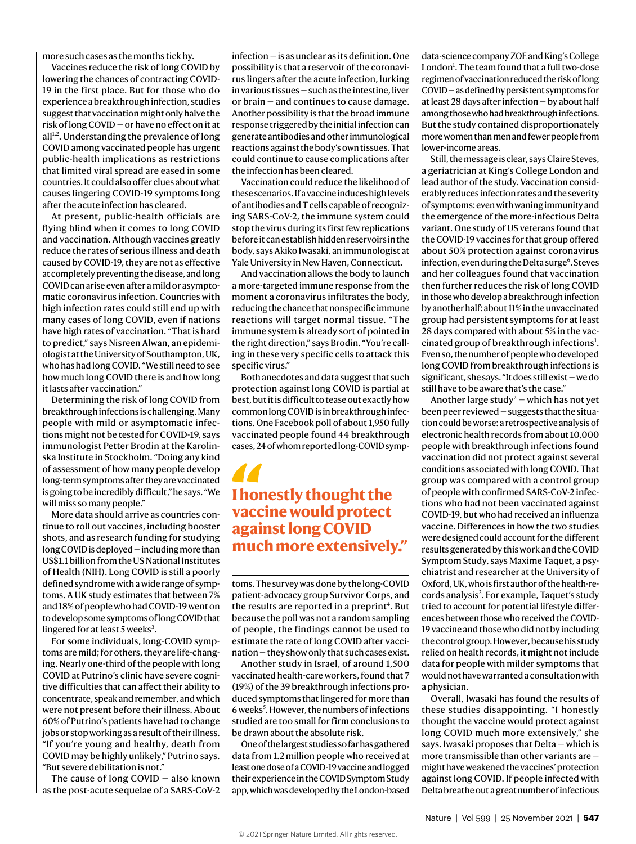more such cases as the months tick by.

Vaccines reduce the risk of long COVID by lowering the chances of contracting COVID-19 in the first place. But for those who do experience a breakthrough infection, studies suggest that vaccination might only halve the risk of long COVID — or have no effect on it at  $all<sup>1,2</sup>$ . Understanding the prevalence of long COVID among vaccinated people has urgent public-health implications as restrictions that limited viral spread are eased in some countries. It could also offer clues about what causes lingering COVID-19 symptoms long after the acute infection has cleared.

At present, public-health officials are flying blind when it comes to long COVID and vaccination. Although vaccines greatly reduce the rates of serious illness and death caused by COVID-19, they are not as effective at completely preventing the disease, and long COVID can arise even after a mild or asymptomatic coronavirus infection. Countries with high infection rates could still end up with many cases of long COVID, even if nations have high rates of vaccination. "That is hard to predict," says Nisreen Alwan, an epidemiologist at the University of Southampton, UK, who has had long COVID. "We still need to see how much long COVID there is and how long it lasts after vaccination."

Determining the risk of long COVID from breakthrough infections is challenging. Many people with mild or asymptomatic infections might not be tested for COVID-19, says immunologist Petter Brodin at the Karolinska Institute in Stockholm. "Doing any kind of assessment of how many people develop long-term symptoms after they are vaccinated is going to be incredibly difficult," he says. "We will miss so many people."

More data should arrive as countries continue to roll out vaccines, including booster shots, and as research funding for studying long COVID is deployed — including more than US\$1.1 billion from the US National Institutes of Health (NIH). Long COVID is still a poorly defined syndrome with a wide range of symptoms. A UK study estimates that between 7% and 18% of people who had COVID-19 went on to develop some symptoms of long COVID that lingered for at least 5 weeks<sup>3</sup>.

For some individuals, long-COVID symptoms are mild; for others, they are life-changing. Nearly one-third of the people with long COVID at Putrino's clinic have severe cognitive difficulties that can affect their ability to concentrate, speak and remember, and which were not present before their illness. About 60% of Putrino's patients have had to change jobs or stop working as a result of their illness. "If you're young and healthy, death from COVID may be highly unlikely," Putrino says. "But severe debilitation is not."

The cause of long  $COVID - also$  known as the post-acute sequelae of a SARS-CoV-2

infection — is as unclear as its definition. One possibility is that a reservoir of the coronavirus lingers after the acute infection, lurking in various tissues — such as the intestine, liver or brain — and continues to cause damage. Another possibility is that the broad immune response triggered by the initial infection can generate antibodies and other immunological reactions against the body's own tissues. That could continue to cause complications after the infection has been cleared.

Vaccination could reduce the likelihood of these scenarios. If a vaccine induces high levels of antibodies and T cells capable of recognizing SARS-CoV-2, the immune system could stop the virus during its first few replications before it can establish hidden reservoirs in the body, says Akiko Iwasaki, an immunologist at Yale University in New Haven, Connecticut.

And vaccination allows the body to launch a more-targeted immune response from the moment a coronavirus infiltrates the body, reducing the chance that nonspecific immune reactions will target normal tissue. "The immune system is already sort of pointed in the right direction," says Brodin. "You're calling in these very specific cells to attack this specific virus."

Both anecdotes and data suggest that such protection against long COVID is partial at best, but it is difficult to tease out exactly how common long COVID is in breakthrough infections. One Facebook poll of about 1,950 fully vaccinated people found 44 breakthrough cases, 24 of whom reported long-COVID symp-

### **I honestly thought the vaccine would protect against long COVID much more extensively."**

toms. The survey was done by the long-COVID patient-advocacy group Survivor Corps, and the results are reported in a preprint<sup>4</sup>. But because the poll was not a random sampling of people, the findings cannot be used to estimate the rate of long COVID after vaccination — they show only that such cases exist.

Another study in Israel, of around 1,500 vaccinated health-care workers, found that 7 (19%) of the 39 breakthrough infections produced symptoms that lingered for more than 6 weeks<sup>5</sup>. However, the numbers of infections studied are too small for firm conclusions to be drawn about the absolute risk.

One of the largest studies so far has gathered data from 1.2 million people who received at least one dose of a COVID-19 vaccine and logged their experience in the COVID Symptom Study app, which was developed by the London-based data-science company ZOE and King's College London<sup>1</sup>. The team found that a full two-dose regimen of vaccination reduced the risk of long COVID — as defined by persistent symptoms for at least 28 days after infection — by about half among those who had breakthrough infections. But the study contained disproportionately more women than men and fewer people from lower-income areas.

Still, the message is clear, says Claire Steves, a geriatrician at King's College London and lead author of the study. Vaccination considerably reduces infection rates and the severity of symptoms: even with waning immunity and the emergence of the more-infectious Delta variant. One study of US veterans found that the COVID-19 vaccines for that group offered about 50% protection against coronavirus infection, even during the Delta surge<sup>6</sup>. Steves and her colleagues found that vaccination then further reduces the risk of long COVID in those who develop a breakthrough infection by another half: about 11% in the unvaccinated group had persistent symptoms for at least 28 days compared with about 5% in the vaccinated group of breakthrough infections<sup>1</sup>. Even so, the number of people who developed long COVID from breakthrough infections is significant, she says. "It does still exist — we do still have to be aware that's the case."

Another large study<sup>2</sup> – which has not yet been peer reviewed — suggests that the situation could be worse: a retrospective analysis of electronic health records from about 10,000 people with breakthrough infections found vaccination did not protect against several conditions associated with long COVID. That group was compared with a control group of people with confirmed SARS-CoV-2 infections who had not been vaccinated against COVID-19, but who had received an influenza vaccine. Differences in how the two studies were designed could account for the different results generated by this work and the COVID Symptom Study, says Maxime Taquet, a psychiatrist and researcher at the University of Oxford, UK, who is first author of the health-records analysis<sup>2</sup>. For example, Taquet's study tried to account for potential lifestyle differences between those who received the COVID-19 vaccine and those who did not by including the control group. However, because his study relied on health records, it might not include data for people with milder symptoms that would not have warranted a consultation with a physician.

Overall, Iwasaki has found the results of these studies disappointing. "I honestly thought the vaccine would protect against long COVID much more extensively," she says. Iwasaki proposes that Delta — which is more transmissible than other variants are might have weakened the vaccines' protection against long COVID. If people infected with Delta breathe out a great number of infectious